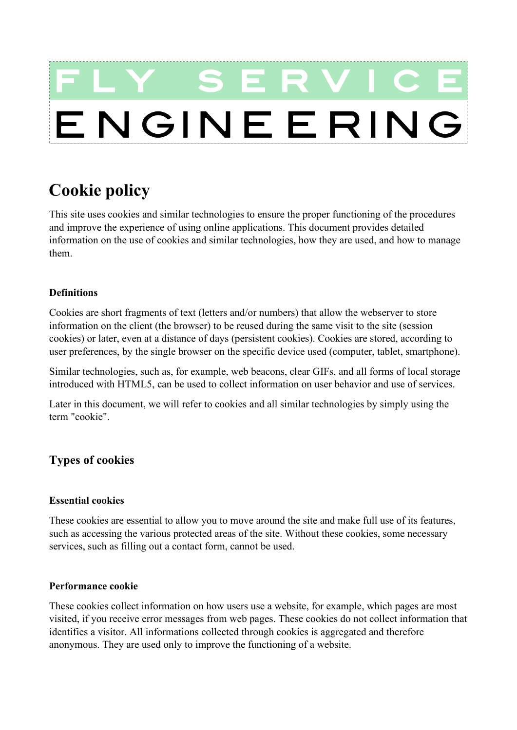# SER ENGINEERING

# **Cookie policy**

This site uses cookies and similar technologies to ensure the proper functioning of the procedures and improve the experience of using online applications. This document provides detailed information on the use of cookies and similar technologies, how they are used, and how to manage them.

# **Definitions**

Cookies are short fragments of text (letters and/or numbers) that allow the webserver to store information on the client (the browser) to be reused during the same visit to the site (session cookies) or later, even at a distance of days (persistent cookies). Cookies are stored, according to user preferences, by the single browser on the specific device used (computer, tablet, smartphone).

Similar technologies, such as, for example, web beacons, clear GIFs, and all forms of local storage introduced with HTML5, can be used to collect information on user behavior and use of services.

Later in this document, we will refer to cookies and all similar technologies by simply using the term "cookie".

# **Types of cookies**

# **Essential cookies**

These cookies are essential to allow you to move around the site and make full use of its features, such as accessing the various protected areas of the site. Without these cookies, some necessary services, such as filling out a contact form, cannot be used.

# **Performance cookie**

These cookies collect information on how users use a website, for example, which pages are most visited, if you receive error messages from web pages. These cookies do not collect information that identifies a visitor. All informations collected through cookies is aggregated and therefore anonymous. They are used only to improve the functioning of a website.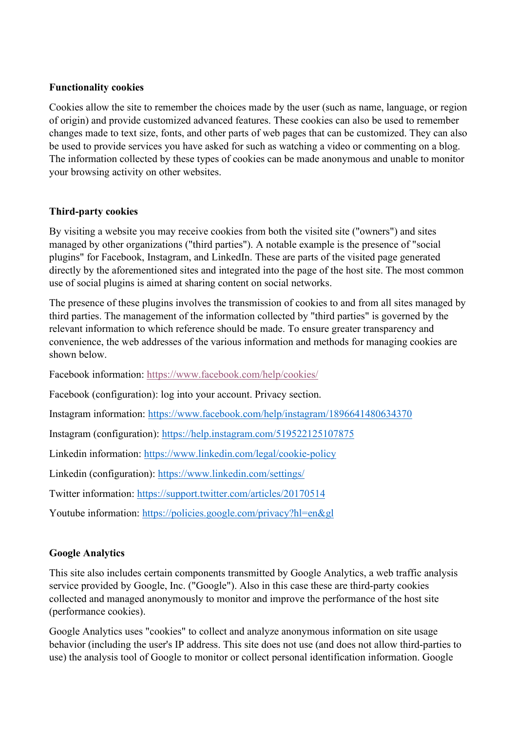# **Functionality cookies**

Cookies allow the site to remember the choices made by the user (such as name, language, or region of origin) and provide customized advanced features. These cookies can also be used to remember changes made to text size, fonts, and other parts of web pages that can be customized. They can also be used to provide services you have asked for such as watching a video or commenting on a blog. The information collected by these types of cookies can be made anonymous and unable to monitor your browsing activity on other websites.

# **Third-party cookies**

By visiting a website you may receive cookies from both the visited site ("owners") and sites managed by other organizations ("third parties"). A notable example is the presence of "social plugins" for Facebook, Instagram, and LinkedIn. These are parts of the visited page generated directly by the aforementioned sites and integrated into the page of the host site. The most common use of social plugins is aimed at sharing content on social networks.

The presence of these plugins involves the transmission of cookies to and from all sites managed by third parties. The management of the information collected by "third parties" is governed by the relevant information to which reference should be made. To ensure greater transparency and convenience, the web addresses of the various information and methods for managing cookies are shown below.

Facebook information:<https://www.facebook.com/help/cookies/>

Facebook (configuration): log into your account. Privacy section.

Instagram information:<https://www.facebook.com/help/instagram/1896641480634370>

Instagram (configuration):<https://help.instagram.com/519522125107875>

Linkedin information:<https://www.linkedin.com/legal/cookie-policy>

Linkedin (configuration):<https://www.linkedin.com/settings/>

Twitter information:<https://support.twitter.com/articles/20170514>

Youtube information:<https://policies.google.com/privacy?hl=en&gl>

# **Google Analytics**

This site also includes certain components transmitted by Google Analytics, a web traffic analysis service provided by Google, Inc. ("Google"). Also in this case these are third-party cookies collected and managed anonymously to monitor and improve the performance of the host site (performance cookies).

Google Analytics uses "cookies" to collect and analyze anonymous information on site usage behavior (including the user's IP address. This site does not use (and does not allow third-parties to use) the analysis tool of Google to monitor or collect personal identification information. Google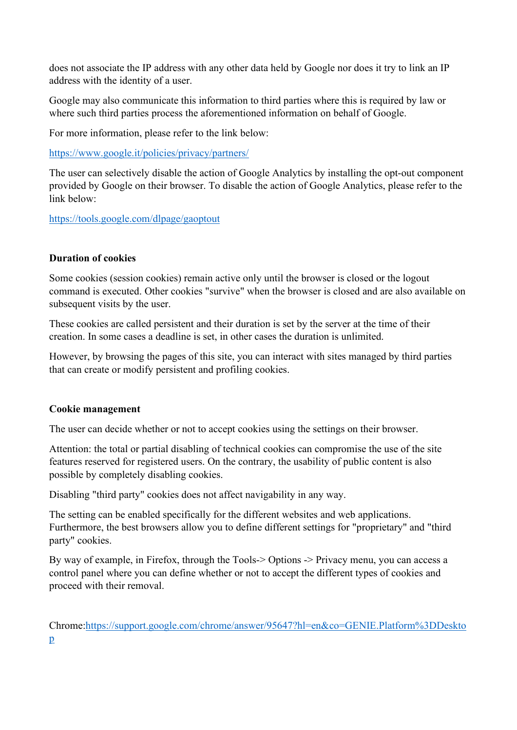does not associate the IP address with any other data held by Google nor does it try to link an IP address with the identity of a user.

Google may also communicate this information to third parties where this is required by law or where such third parties process the aforementioned information on behalf of Google.

For more information, please refer to the link below:

<https://www.google.it/policies/privacy/partners/>

The user can selectively disable the action of Google Analytics by installing the opt-out component provided by Google on their browser. To disable the action of Google Analytics, please refer to the link below:

<https://tools.google.com/dlpage/gaoptout>

# **Duration of cookies**

Some cookies (session cookies) remain active only until the browser is closed or the logout command is executed. Other cookies "survive" when the browser is closed and are also available on subsequent visits by the user.

These cookies are called persistent and their duration is set by the server at the time of their creation. In some cases a deadline is set, in other cases the duration is unlimited.

However, by browsing the pages of this site, you can interact with sites managed by third parties that can create or modify persistent and profiling cookies.

## **Cookie management**

The user can decide whether or not to accept cookies using the settings on their browser.

Attention: the total or partial disabling of technical cookies can compromise the use of the site features reserved for registered users. On the contrary, the usability of public content is also possible by completely disabling cookies.

Disabling "third party" cookies does not affect navigability in any way.

The setting can be enabled specifically for the different websites and web applications. Furthermore, the best browsers allow you to define different settings for "proprietary" and "third party" cookies.

By way of example, in Firefox, through the Tools-> Options -> Privacy menu, you can access a control panel where you can define whether or not to accept the different types of cookies and proceed with their removal.

Chrome[:https://support.google.com/chrome/answer/95647?hl=en&co=GENIE.Platform%3DDeskto](https://support.google.com/chrome/answer/95647?hl=en&co=GENIE.Platform%3DDesktop) [p](https://support.google.com/chrome/answer/95647?hl=en&co=GENIE.Platform%3DDesktop)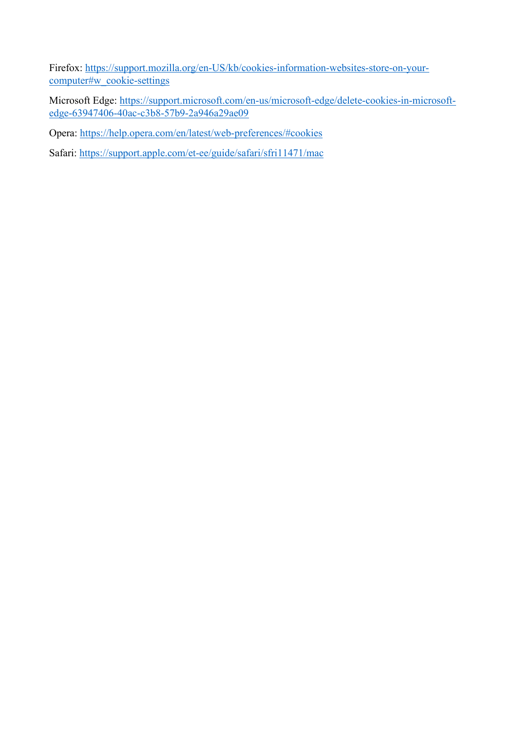Firefox: [https://support.mozilla.org/en-US/kb/cookies-information-websites-store-on-your](https://support.mozilla.org/en-US/kb/cookies-information-websites-store-on-your-computer%23w_cookie-settings)[computer#w\\_cookie-settings](https://support.mozilla.org/en-US/kb/cookies-information-websites-store-on-your-computer%23w_cookie-settings)

Microsoft Edge: [https://support.microsoft.com/en-us/microsoft-edge/delete-cookies-in-microsoft](https://support.microsoft.com/en-us/microsoft-edge/delete-cookies-in-microsoft-edge-63947406-40ac-c3b8-57b9-2a946a29ae09)[edge-63947406-40ac-c3b8-57b9-2a946a29ae09](https://support.microsoft.com/en-us/microsoft-edge/delete-cookies-in-microsoft-edge-63947406-40ac-c3b8-57b9-2a946a29ae09)

Opera: [https://help.opera.com/en/latest/web-preferences/#cookies](https://help.opera.com/en/latest/web-preferences/%23cookies)

Safari:<https://support.apple.com/et-ee/guide/safari/sfri11471/mac>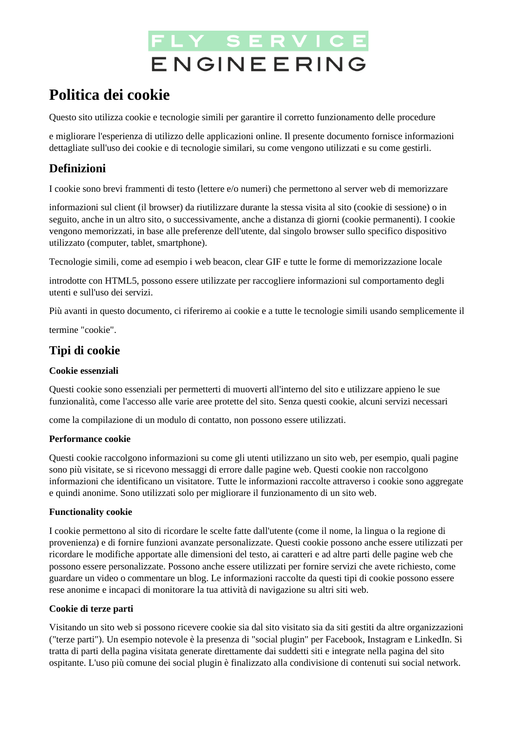# FLY SERVICI ENGINEERING

# **Politica dei cookie**

Questo sito utilizza cookie e tecnologie simili per garantire il corretto funzionamento delle procedure

e migliorare l'esperienza di utilizzo delle applicazioni online. Il presente documento fornisce informazioni dettagliate sull'uso dei cookie e di tecnologie similari, su come vengono utilizzati e su come gestirli.

# **Definizioni**

I cookie sono brevi frammenti di testo (lettere e/o numeri) che permettono al server web di memorizzare

informazioni sul client (il browser) da riutilizzare durante la stessa visita al sito (cookie di sessione) o in seguito, anche in un altro sito, o successivamente, anche a distanza di giorni (cookie permanenti). I cookie vengono memorizzati, in base alle preferenze dell'utente, dal singolo browser sullo specifico dispositivo utilizzato (computer, tablet, smartphone).

Tecnologie simili, come ad esempio i web beacon, clear GIF e tutte le forme di memorizzazione locale

introdotte con HTML5, possono essere utilizzate per raccogliere informazioni sul comportamento degli utenti e sull'uso dei servizi.

Più avanti in questo documento, ci riferiremo ai cookie e a tutte le tecnologie simili usando semplicemente il

termine "cookie".

# **Tipi di cookie**

## **Cookie essenziali**

Questi cookie sono essenziali per permetterti di muoverti all'interno del sito e utilizzare appieno le sue funzionalità, come l'accesso alle varie aree protette del sito. Senza questi cookie, alcuni servizi necessari

come la compilazione di un modulo di contatto, non possono essere utilizzati.

## **Performance cookie**

Questi cookie raccolgono informazioni su come gli utenti utilizzano un sito web, per esempio, quali pagine sono più visitate, se si ricevono messaggi di errore dalle pagine web. Questi cookie non raccolgono informazioni che identificano un visitatore. Tutte le informazioni raccolte attraverso i cookie sono aggregate e quindi anonime. Sono utilizzati solo per migliorare il funzionamento di un sito web.

## **Functionality cookie**

I cookie permettono al sito di ricordare le scelte fatte dall'utente (come il nome, la lingua o la regione di provenienza) e di fornire funzioni avanzate personalizzate. Questi cookie possono anche essere utilizzati per ricordare le modifiche apportate alle dimensioni del testo, ai caratteri e ad altre parti delle pagine web che possono essere personalizzate. Possono anche essere utilizzati per fornire servizi che avete richiesto, come guardare un video o commentare un blog. Le informazioni raccolte da questi tipi di cookie possono essere rese anonime e incapaci di monitorare la tua attività di navigazione su altri siti web.

## **Cookie di terze parti**

Visitando un sito web si possono ricevere cookie sia dal sito visitato sia da siti gestiti da altre organizzazioni ("terze parti"). Un esempio notevole è la presenza di "social plugin" per Facebook, Instagram e LinkedIn. Si tratta di parti della pagina visitata generate direttamente dai suddetti siti e integrate nella pagina del sito ospitante. L'uso più comune dei social plugin è finalizzato alla condivisione di contenuti sui social network.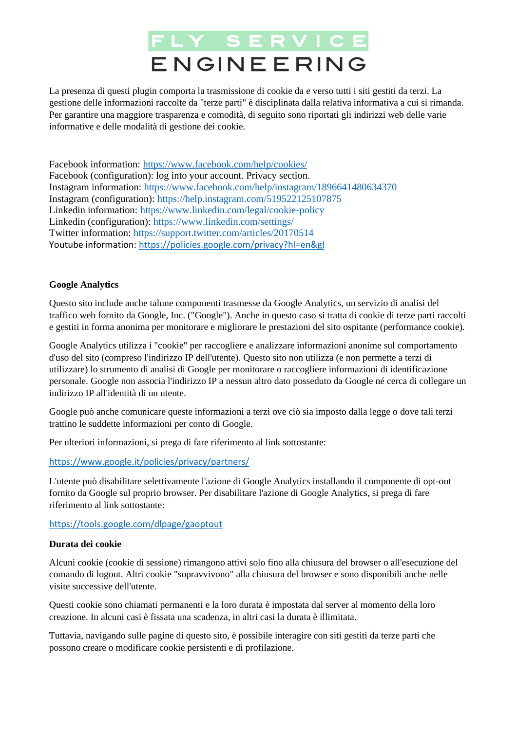# FLY SERVICI ENGINEERING

La presenza di questi plugin comporta la trasmissione di cookie da e verso tutti i siti gestiti da terzi. La gestione delle informazioni raccolte da "terze parti" è disciplinata dalla relativa informativa a cui si rimanda. Per garantire una maggiore trasparenza e comodità, di seguito sono riportati gli indirizzi web delle varie informative e delle modalità di gestione dei cookie.

Facebook information:<https://www.facebook.com/help/cookies/> Facebook (configuration): log into your account. Privacy section. Instagram information: https://www.facebook.com/help/instagram/1896641480634370 Instagram (configuration): https://help.instagram.com/519522125107875 Linkedin information: https://www.linkedin.com/legal/cookie-policy Linkedin (configuration): https://www.linkedin.com/settings/ Twitter information: https://support.twitter.com/articles/20170514 Youtube information:<https://policies.google.com/privacy?hl=en&gl>

## **Google Analytics**

Questo sito include anche talune componenti trasmesse da Google Analytics, un servizio di analisi del traffico web fornito da Google, Inc. ("Google"). Anche in questo caso si tratta di cookie di terze parti raccolti e gestiti in forma anonima per monitorare e migliorare le prestazioni del sito ospitante (performance cookie).

Google Analytics utilizza i "cookie" per raccogliere e analizzare informazioni anonime sul comportamento d'uso del sito (compreso l'indirizzo IP dell'utente). Questo sito non utilizza (e non permette a terzi di utilizzare) lo strumento di analisi di Google per monitorare o raccogliere informazioni di identificazione personale. Google non associa l'indirizzo IP a nessun altro dato posseduto da Google né cerca di collegare un indirizzo IP all'identità di un utente.

Google può anche comunicare queste informazioni a terzi ove ciò sia imposto dalla legge o dove tali terzi trattino le suddette informazioni per conto di Google.

Per ulteriori informazioni, si prega di fare riferimento al link sottostante:

<https://www.google.it/policies/privacy/partners/>

L'utente può disabilitare selettivamente l'azione di Google Analytics installando il componente di opt-out fornito da Google sul proprio browser. Per disabilitare l'azione di Google Analytics, si prega di fare riferimento al link sottostante:

#### <https://tools.google.com/dlpage/gaoptout>

#### **Durata dei cookie**

Alcuni cookie (cookie di sessione) rimangono attivi solo fino alla chiusura del browser o all'esecuzione del comando di logout. Altri cookie "sopravvivono" alla chiusura del browser e sono disponibili anche nelle visite successive dell'utente.

Questi cookie sono chiamati permanenti e la loro durata è impostata dal server al momento della loro creazione. In alcuni casi è fissata una scadenza, in altri casi la durata è illimitata.

Tuttavia, navigando sulle pagine di questo sito, è possibile interagire con siti gestiti da terze parti che possono creare o modificare cookie persistenti e di profilazione.